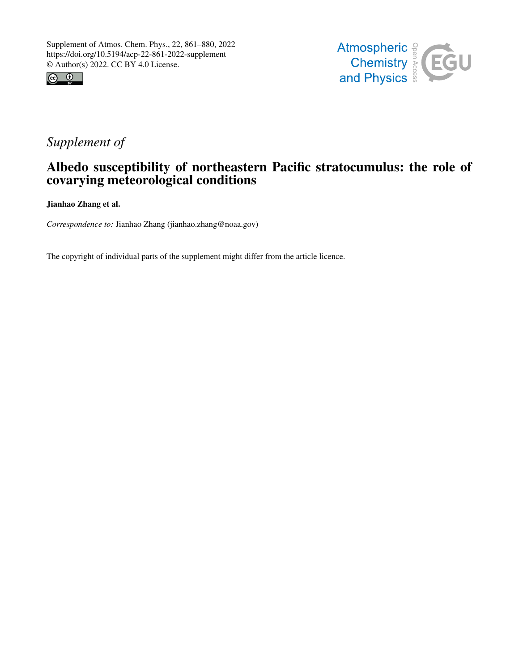



## *Supplement of*

## Albedo susceptibility of northeastern Pacific stratocumulus: the role of covarying meteorological conditions

Jianhao Zhang et al.

*Correspondence to:* Jianhao Zhang (jianhao.zhang@noaa.gov)

The copyright of individual parts of the supplement might differ from the article licence.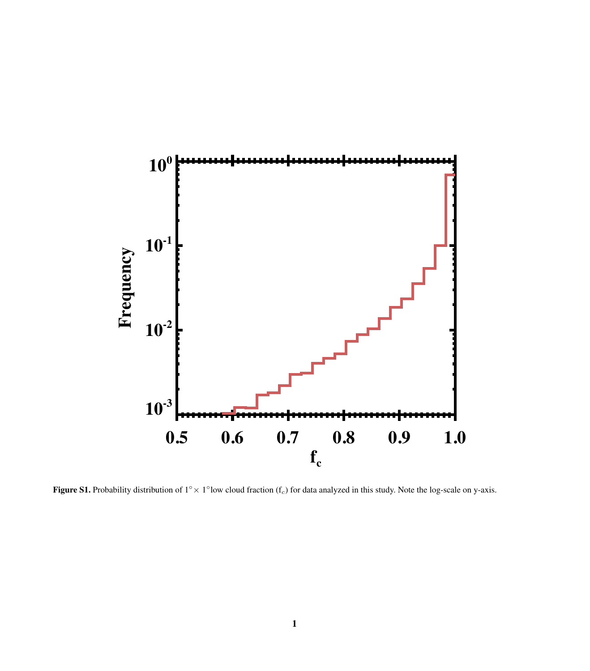

Figure S1. Probability distribution of  $1^\circ \times 1^\circ$ low cloud fraction (f<sub>c</sub>) for data analyzed in this study. Note the log-scale on y-axis.